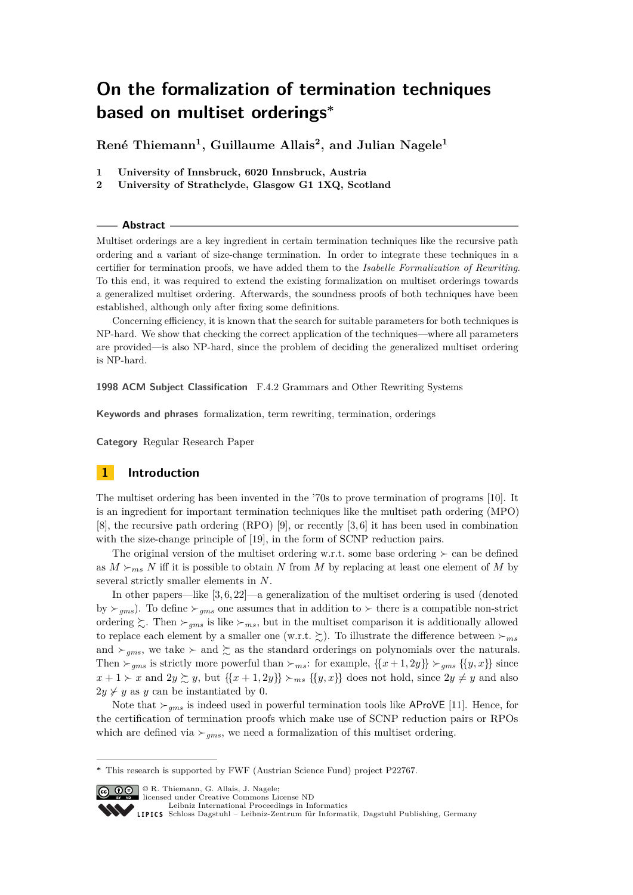**René Thiemann<sup>1</sup> , Guillaume Allais<sup>2</sup> , and Julian Nagele<sup>1</sup>**

- **1 University of Innsbruck, 6020 Innsbruck, Austria**
- **2 University of Strathclyde, Glasgow G1 1XQ, Scotland**

#### **Abstract**

Multiset orderings are a key ingredient in certain termination techniques like the recursive path ordering and a variant of size-change termination. In order to integrate these techniques in a certifier for termination proofs, we have added them to the *Isabelle Formalization of Rewriting*. To this end, it was required to extend the existing formalization on multiset orderings towards a generalized multiset ordering. Afterwards, the soundness proofs of both techniques have been established, although only after fixing some definitions.

Concerning efficiency, it is known that the search for suitable parameters for both techniques is NP-hard. We show that checking the correct application of the techniques—where all parameters are provided—is also NP-hard, since the problem of deciding the generalized multiset ordering is NP-hard.

**1998 ACM Subject Classification** F.4.2 Grammars and Other Rewriting Systems

**Keywords and phrases** formalization, term rewriting, termination, orderings

**Category** Regular Research Paper

# **1 Introduction**

The multiset ordering has been invented in the '70s to prove termination of programs [\[10\]](#page-15-0). It is an ingredient for important termination techniques like the multiset path ordering (MPO) [\[8\]](#page-15-1), the recursive path ordering (RPO) [\[9\]](#page-15-2), or recently [\[3,](#page-14-0) [6\]](#page-15-3) it has been used in combination with the size-change principle of [\[19\]](#page-15-4), in the form of SCNP reduction pairs.

The original version of the multiset ordering w.r.t. some base ordering  $\succ$  can be defined as  $M \succeq_{ms} N$  iff it is possible to obtain N from M by replacing at least one element of M by several strictly smaller elements in N.

In other papers—like  $[3, 6, 22]$  $[3, 6, 22]$  $[3, 6, 22]$ —a generalization of the multiset ordering is used (denoted by  $\succ_{qms}$ ). To define  $\succ_{qms}$  one assumes that in addition to  $\succ$  there is a compatible non-strict ordering  $\zeta$ . Then  $\succ_{ams}$  is like  $\succ_{ms}$ , but in the multiset comparison it is additionally allowed to replace each element by a smaller one (w.r.t.  $\gtrsim$ ). To illustrate the difference between  $\succ_{ms}$ and  $\succ_{gms}$ , we take  $\succ$  and  $\succsim$  as the standard orderings on polynomials over the naturals. Then  $\succ_{ams}$  is strictly more powerful than  $\succ_{ms}$ : for example,  $\{\{x + 1, 2y\}\}\succ_{ams} \{\{y, x\}\}\$  since  $x + 1 > x$  and  $2y \gtrsim y$ , but  $\{\{x + 1, 2y\}\} \gtrsim_{ms} \{\{y, x\}\}\)$  does not hold, since  $2y \neq y$  and also  $2y \nless y$  as y can be instantiated by 0.

Note that  $\gtrsim_{qms}$  is indeed used in powerful termination tools like AProVE [\[11\]](#page-15-6). Hence, for the certification of termination proofs which make use of SCNP reduction pairs or RPOs which are defined via  $\succ_{qms}$ , we need a formalization of this multiset ordering.

© R. Thiemann, G. Allais, J. Nagele; licensed under Creative Commons License ND

[Leibniz International Proceedings in Informatics](http://www.dagstuhl.de/lipics/)

**<sup>∗</sup>** This research is supported by FWF (Austrian Science Fund) project P22767.

[Schloss Dagstuhl – Leibniz-Zentrum für Informatik, Dagstuhl Publishing, Germany](http://www.dagstuhl.de)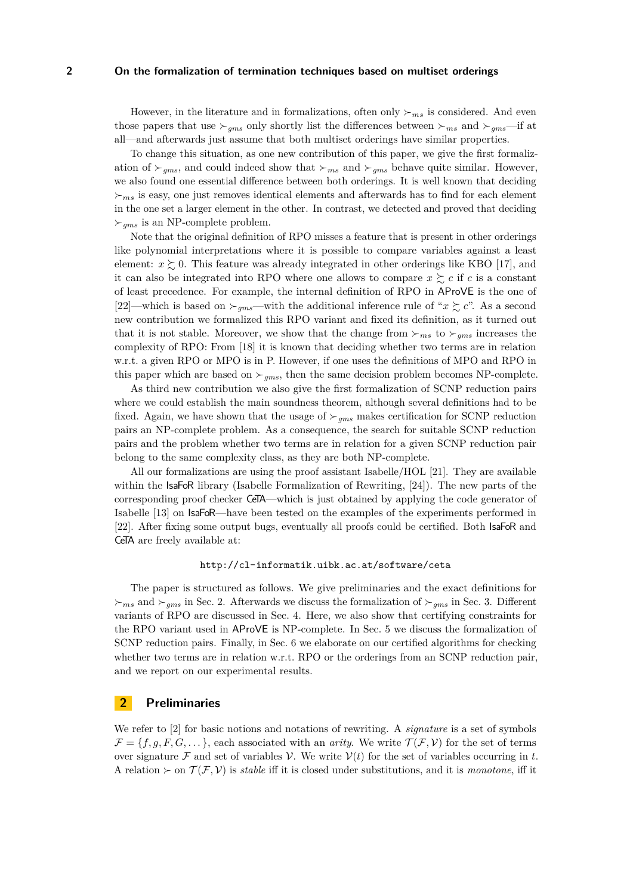However, in the literature and in formalizations, often only  $\succ_{ms}$  is considered. And even those papers that use  $\succ_{qms}$  only shortly list the differences between  $\succ_{ms}$  and  $\succ_{qms}$ —if at all—and afterwards just assume that both multiset orderings have similar properties.

To change this situation, as one new contribution of this paper, we give the first formalization of  $\succ_{gms}$ , and could indeed show that  $\succ_{ms}$  and  $\succ_{gms}$  behave quite similar. However, we also found one essential difference between both orderings. It is well known that deciding  $\succ_{ms}$  is easy, one just removes identical elements and afterwards has to find for each element in the one set a larger element in the other. In contrast, we detected and proved that deciding  $\succ_{gms}$  is an NP-complete problem.

Note that the original definition of RPO misses a feature that is present in other orderings like polynomial interpretations where it is possible to compare variables against a least element:  $x \succeq 0$ . This feature was already integrated in other orderings like KBO [\[17\]](#page-15-7), and it can also be integrated into RPO where one allows to compare  $x \succeq c$  if c is a constant of least precedence. For example, the internal definition of RPO in AProVE is the one of [\[22\]](#page-15-5)—which is based on  $\succ_{qms}$ —with the additional inference rule of "x  $\succsim c$ ". As a second new contribution we formalized this RPO variant and fixed its definition, as it turned out that it is not stable. Moreover, we show that the change from  $\succ_{ms}$  to  $\succ_{qms}$  increases the complexity of RPO: From [\[18\]](#page-15-8) it is known that deciding whether two terms are in relation w.r.t. a given RPO or MPO is in P. However, if one uses the definitions of MPO and RPO in this paper which are based on  $\succ_{qms}$ , then the same decision problem becomes NP-complete.

As third new contribution we also give the first formalization of SCNP reduction pairs where we could establish the main soundness theorem, although several definitions had to be fixed. Again, we have shown that the usage of  $\succ_{ams}$  makes certification for SCNP reduction pairs an NP-complete problem. As a consequence, the search for suitable SCNP reduction pairs and the problem whether two terms are in relation for a given SCNP reduction pair belong to the same complexity class, as they are both NP-complete.

All our formalizations are using the proof assistant Isabelle/HOL [\[21\]](#page-15-9). They are available within the IsaFoR library (Isabelle Formalization of Rewriting, [\[24\]](#page-15-10)). The new parts of the corresponding proof checker CeTA—which is just obtained by applying the code generator of Isabelle [\[13\]](#page-15-11) on IsaFoR—have been tested on the examples of the experiments performed in [\[22\]](#page-15-5). After fixing some output bugs, eventually all proofs could be certified. Both IsaFoR and CeTA are freely available at:

## <http://cl-informatik.uibk.ac.at/software/ceta>

The paper is structured as follows. We give preliminaries and the exact definitions for  $\succ_{ms}$  and  $\succ_{gms}$  in Sec. [2.](#page-1-0) Afterwards we discuss the formalization of  $\succ_{gms}$  in Sec. [3.](#page-2-0) Different variants of RPO are discussed in Sec. [4.](#page-4-0) Here, we also show that certifying constraints for the RPO variant used in AProVE is NP-complete. In Sec. [5](#page-8-0) we discuss the formalization of SCNP reduction pairs. Finally, in Sec. [6](#page-13-0) we elaborate on our certified algorithms for checking whether two terms are in relation w.r.t. RPO or the orderings from an SCNP reduction pair, and we report on our experimental results.

# <span id="page-1-0"></span>**2 Preliminaries**

We refer to [\[2\]](#page-14-1) for basic notions and notations of rewriting. A *signature* is a set of symbols  $\mathcal{F} = \{f, q, F, G, \dots\}$ , each associated with an *arity*. We write  $\mathcal{T}(\mathcal{F}, \mathcal{V})$  for the set of terms over signature F and set of variables V. We write  $V(t)$  for the set of variables occurring in t. A relation  $\succ$  on  $\mathcal{T}(\mathcal{F}, \mathcal{V})$  is *stable* iff it is closed under substitutions, and it is *monotone*, iff it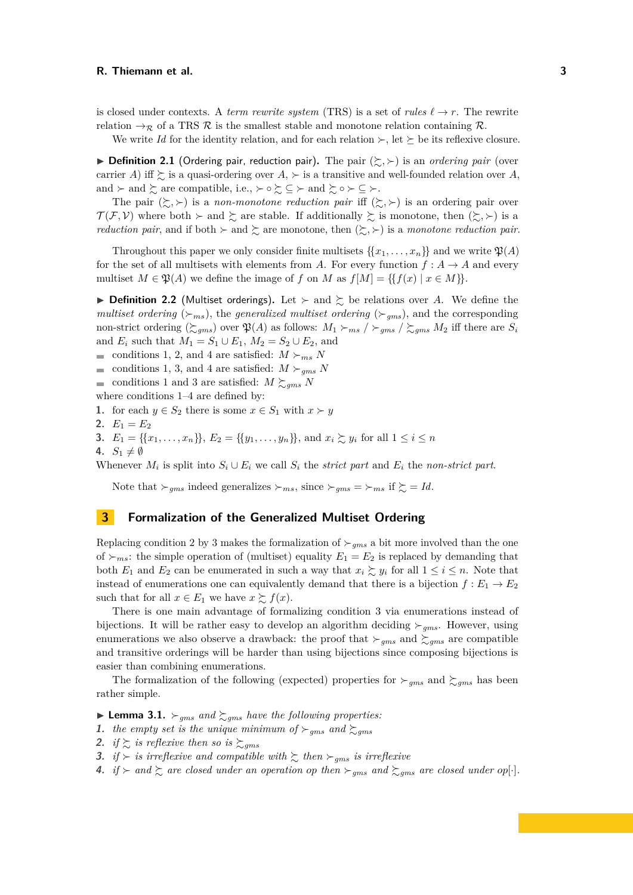is closed under contexts. A *term rewrite system* (TRS) is a set of *rules*  $\ell \rightarrow r$ . The rewrite relation  $\rightarrow_{\mathcal{R}}$  of a TRS  $\mathcal{R}$  is the smallest stable and monotone relation containing  $\mathcal{R}$ .

We write *Id* for the identity relation, and for each relation  $\succ$ , let  $\succeq$  be its reflexive closure.

<span id="page-2-6"></span> $\triangleright$  **Definition 2.1** (Ordering pair, reduction pair). The pair  $(\succsim, \succ)$  is an *ordering pair* (over carrier A) iff  $\succeq$  is a quasi-ordering over A,  $\succ$  is a transitive and well-founded relation over A, and  $\succ$  and  $\succsim$  are compatible, i.e.,  $\succ \circ \succsim \subseteq \succ$  and  $\succsim \circ \succ \subseteq \succ$ .

The pair  $(\succsim, \succ)$  is a *non-monotone reduction pair* iff  $(\succsim, \succ)$  is an ordering pair over  $\mathcal{T}(\mathcal{F}, \mathcal{V})$  where both  $\succ$  and  $\succsim$  are stable. If additionally  $\succsim$  is monotone, then  $(\succsim, \succ)$  is a *reduction pair*, and if both  $\succ$  and  $\succsim$  are monotone, then  $(\succsim, \succ)$  is a *monotone reduction pair*.

Throughout this paper we only consider finite multisets  $\{x_1, \ldots, x_n\}$  and we write  $\mathfrak{P}(A)$ for the set of all multisets with elements from A. For every function  $f : A \to A$  and every multiset  $M \in \mathfrak{P}(A)$  we define the image of f on M as  $f[M] = \{f(x) | x \in M\}$ .

**Definition 2.2** (Multiset orderings). Let  $\succ$  and  $\succsim$  be relations over A. We define the *multiset ordering* ( $\succ_{ms}$ ), the *generalized multiset ordering* ( $\succ_{gms}$ ), and the corresponding non-strict ordering  $(\gtrsim_{gms})$  over  $\mathfrak{P}(A)$  as follows:  $M_1 \gtrsim_{ms} / \gtrsim_{gms} M_2$  iff there are  $S_i$ and  $E_i$  such that  $M_1 = S_1 \cup E_1$ ,  $M_2 = S_2 \cup E_2$ , and

conditions [1,](#page-2-1) [2,](#page-2-2) and [4](#page-2-3) are satisfied:  $M \succ_{ms} N$ 

conditions [1,](#page-2-1) [3,](#page-2-4) and [4](#page-2-3) are satisfied:  $M \succeq_{ams} N$ 

conditions [1](#page-2-1) and [3](#page-2-4) are satisfied:  $M \succeq_{gams} N$ 

where conditions [1–](#page-2-1)[4](#page-2-3) are defined by:

<span id="page-2-1"></span>**1.** for each  $y \in S_2$  there is some  $x \in S_1$  with  $x \succ y$ 

- <span id="page-2-2"></span>**2.**  $E_1 = E_2$
- <span id="page-2-4"></span>**3.**  $E_1 = \{ \{x_1, \ldots, x_n\} \}, E_2 = \{ \{y_1, \ldots, y_n\} \}, \text{ and } x_i \succsim y_i \text{ for all } 1 \leq i \leq n$
- <span id="page-2-3"></span>4.  $S_1 \neq \emptyset$

Whenever  $M_i$  is split into  $S_i \cup E_i$  we call  $S_i$  the *strict part* and  $E_i$  the *non-strict part*.

Note that  $\succ_{gms}$  indeed generalizes  $\succ_{ms}$ , since  $\succ_{gms} = \succ_{ms}$  if  $\succsim = Id$ .

# <span id="page-2-0"></span>**3 Formalization of the Generalized Multiset Ordering**

Replacing condition [2](#page-2-2) by [3](#page-2-4) makes the formalization of  $\succ_{qms}$  a bit more involved than the one of  $\succ_{ms}$ : the simple operation of (multiset) equality  $E_1 = E_2$  is replaced by demanding that both  $E_1$  and  $E_2$  can be enumerated in such a way that  $x_i \gtrsim y_i$  for all  $1 \le i \le n$ . Note that instead of enumerations one can equivalently demand that there is a bijection  $f : E_1 \to E_2$ such that for all  $x \in E_1$  we have  $x \succeq f(x)$ .

There is one main advantage of formalizing condition [3](#page-2-4) via enumerations instead of bijections. It will be rather easy to develop an algorithm deciding  $\succ_{ams}$ . However, using enumerations we also observe a drawback: the proof that  $\succ_{gms}$  and  $\succsim_{gms}$  are compatible and transitive orderings will be harder than using bijections since composing bijections is easier than combining enumerations.

The formalization of the following (expected) properties for  $\succ_{qms}$  and  $\succsim_{qms}$  has been rather simple.

<span id="page-2-5"></span> $\blacktriangleright$  **Lemma 3.1.**  $\succ_{gms}$  *and*  $\succsim_{gms}$  *have the following properties:* 

- **1.** *the empty set is the unique minimum of*  $\succ_{gms}$  *and*  $\succsim_{gms}$
- **2.** *if*  $\gtrsim$  *is reflexive then so is*  $\gtrsim_{qms}$
- **3.** *if*  $\succ$  *is irreflexive and compatible with*  $\succsim$  *then*  $\succ_{qms}$  *is irreflexive*
- **4.** *if*  $\succ$  *and*  $\succsim$  *are closed under an operation op then*  $\succ_{gms}$  *and*  $\succsim_{gms}$  *are closed under op*[·].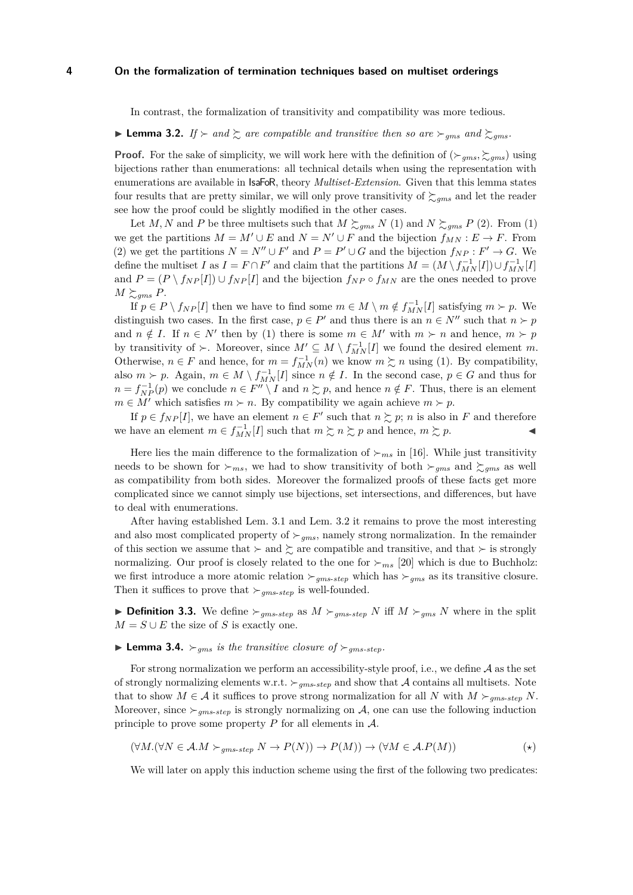In contrast, the formalization of transitivity and compatibility was more tedious.

<span id="page-3-0"></span> $\blacktriangleright$  **Lemma 3.2.** *If*  $\succ$  *and*  $\succsim$  *are compatible and transitive then so are*  $\succ_{qms}$  *and*  $\succsim$  *gms.* 

**Proof.** For the sake of simplicity, we will work here with the definition of  $(\succ_{gms}, \succsim_{gms})$  using bijections rather than enumerations: all technical details when using the representation with enumerations are available in IsaFoR, theory *Multiset-Extension*. Given that this lemma states four results that are pretty similar, we will only prove transitivity of  $\gtrsim_{qms}$  and let the reader see how the proof could be slightly modified in the other cases.

Let M, N and P be three multisets such that  $M \succeq_{gms} N$  (1) and  $N \succeq_{gms} P$  (2). From (1) we get the partitions  $M = M' \cup E$  and  $N = N' \cup F$  and the bijection  $f_{MN} : E \to F$ . From (2) we get the partitions  $N = N'' \cup F'$  and  $P = P' \cup G$  and the bijection  $f_{NP} : F' \to G$ . We define the multiset I as  $I = F \cap F'$  and claim that the partitions  $M = (M \setminus f_{MN}^{-1}[I]) \cup f_{MN}^{-1}[I]$ and  $P = (P \setminus f_{NP}[I]) \cup f_{NP}[I]$  and the bijection  $f_{NP} \circ f_{MN}$  are the ones needed to prove  $M \succeq_{gms} P$ .

If  $p \in P \setminus f_{NP}[I]$  then we have to find some  $m \in M \setminus m \notin f_{MN}^{-1}[I]$  satisfying  $m \succ p$ . We distinguish two cases. In the first case,  $p \in P'$  and thus there is an  $n \in N''$  such that  $n \succ p$ and  $n \notin I$ . If  $n \in N'$  then by (1) there is some  $m \in M'$  with  $m \succ n$  and hence,  $m \succ p$ by transitivity of  $\succ$ . Moreover, since  $M' \subseteq M \setminus f_{MN}^{-1}[I]$  we found the desired element m. Otherwise,  $n \in F$  and hence, for  $m = f_{MN}^{-1}(n)$  we know  $m \succsim n$  using (1). By compatibility, also  $m \succ p$ . Again,  $m \in M \setminus f_{MN}^{-1}[I]$  since  $n \notin I$ . In the second case,  $p \in G$  and thus for  $n = f_{NP}^{-1}(p)$  we conclude  $n \in F'' \setminus I$  and  $n \succsim p$ , and hence  $n \notin F$ . Thus, there is an element  $m \in M'$  which satisfies  $m \succ n$ . By compatibility we again achieve  $m \succ p$ .

If  $p \in f_{NP}[I]$ , we have an element  $n \in F'$  such that  $n \succsim p$ ; n is also in F and therefore we have an element  $m \in f_{MN}^{-1}[I]$  such that  $m \succsim n \succsim p$  and hence,  $m \succsim p$ .

Here lies the main difference to the formalization of  $\succ_{ms}$  in [\[16\]](#page-15-12). While just transitivity needs to be shown for  $\succ_{ms}$ , we had to show transitivity of both  $\succ_{qms}$  and  $\succ_{qms}$  as well as compatibility from both sides. Moreover the formalized proofs of these facts get more complicated since we cannot simply use bijections, set intersections, and differences, but have to deal with enumerations.

After having established Lem. [3.1](#page-2-5) and Lem. [3.2](#page-3-0) it remains to prove the most interesting and also most complicated property of  $\succ_{qms}$ , namely strong normalization. In the remainder of this section we assume that  $\succ$  and  $\succ$  are compatible and transitive, and that  $\succ$  is strongly normalizing. Our proof is closely related to the one for  $\succ_{ms}$  [\[20\]](#page-15-13) which is due to Buchholz: we first introduce a more atomic relation  $\succ_{qms\text{-}step}$  which has  $\succ_{qms}$  as its transitive closure. Then it suffices to prove that  $\succ_{qms\text{-}step}$  is well-founded.

**Definition 3.3.** We define  $\succ_{gms\text{-}step}$  as  $M \succ_{gms\text{-}step} N$  iff  $M \succ_{gms} N$  where in the split  $M = S \cup E$  the size of S is exactly one.

# <span id="page-3-2"></span>**I Lemma 3.4.**  $\succ_{ams}$  *is the transitive closure of*  $\succ_{ams\text{-}step}$ *.*

For strong normalization we perform an accessibility-style proof, i.e., we define  $A$  as the set of strongly normalizing elements w.r.t.  $\succ_{qms\text{-}step}$  and show that A contains all multisets. Note that to show  $M \in \mathcal{A}$  it suffices to prove strong normalization for all N with  $M \succ_{qms\text{-}step} N$ . Moreover, since  $\succ_{gms\text{-}step}$  is strongly normalizing on A, one can use the following induction principle to prove some property  $P$  for all elements in  $\mathcal{A}$ .

<span id="page-3-1"></span>
$$
(\forall M. (\forall N \in \mathcal{A}.M \succ_{gms\text{-}step} N \to P(N)) \to P(M)) \to (\forall M \in \mathcal{A}.P(M))
$$
 (\*)

We will later on apply this induction scheme using the first of the following two predicates: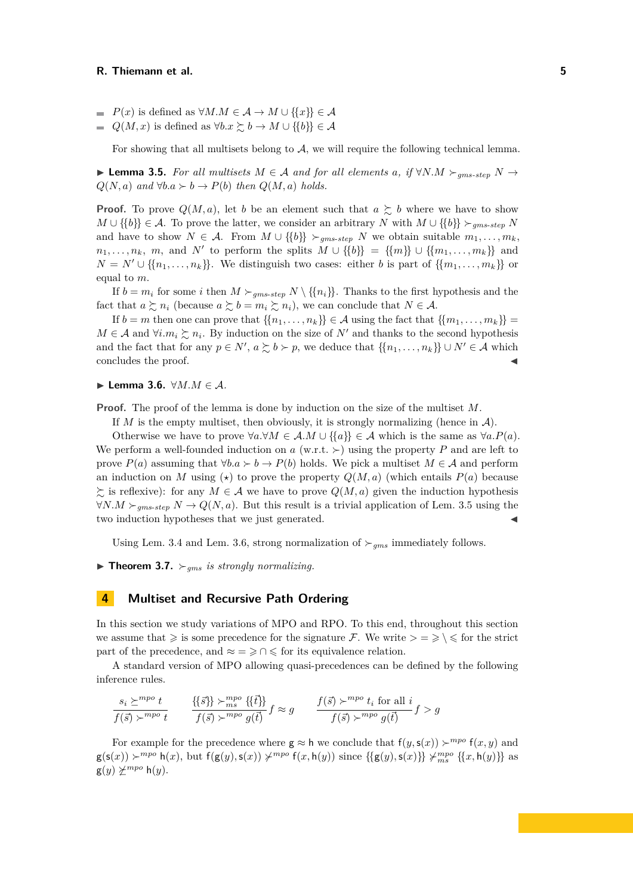- $P(x)$  is defined as  $\forall M.M \in \mathcal{A} \rightarrow M \cup \{\{x\}\}\in \mathcal{A}$
- $Q(M, x)$  is defined as  $\forall b. x \succcurlyeq b \rightarrow M \cup \{\{b\}\}\in \mathcal{A}$

For showing that all multisets belong to  $A$ , we will require the following technical lemma.

<span id="page-4-1"></span>**► Lemma 3.5.** For all multisets  $M \in \mathcal{A}$  and for all elements a, if  $\forall N.M \succ_{ams\text{-step}} N \rightarrow$  $Q(N, a)$  *and*  $\forall b.a \succ b \rightarrow P(b)$  *then*  $Q(M, a)$  *holds.* 

**Proof.** To prove  $Q(M, a)$ , let b be an element such that  $a \succsim b$  where we have to show  $M \cup \{\{b\}\}\n\xrightarrow{} g_{ms-step} N$  U  $\{\{b\}\}\n\xrightarrow{} g_{ms-step} N$ and have to show  $N \in \mathcal{A}$ . From  $M \cup \{\{b\}\}\n\succ_{gms\text{-}step} N$  we obtain suitable  $m_1, \ldots, m_k$  $n_1, \ldots, n_k$ , m, and N' to perform the splits  $M \cup \{\{b\}\} = \{\{m\}\} \cup \{\{m_1, \ldots, m_k\}\}\$ and  $N = N' \cup \{\{n_1, \ldots, n_k\}\}\.$  We distinguish two cases: either b is part of  $\{\{m_1, \ldots, m_k\}\}\$  or equal to m.

If  $b = m_i$  for some i then  $M \succ_{gms\text{-}step} N \setminus \{\{n_i\}\}\)$ . Thanks to the first hypothesis and the fact that  $a \succeq n_i$  (because  $a \succeq b = m_i \succeq n_i$ ), we can conclude that  $N \in \mathcal{A}$ .

If  $b = m$  then one can prove that  $\{\{n_1, \ldots, n_k\}\}\in \mathcal{A}$  using the fact that  $\{\{m_1, \ldots, m_k\}\}$  $M \in \mathcal{A}$  and  $\forall i.m_i \succsim n_i$ . By induction on the size of N' and thanks to the second hypothesis and the fact that for any  $p \in N'$ ,  $a \succsim b \succ p$ , we deduce that  $\{\{n_1, \ldots, n_k\}\} \cup N' \in \mathcal{A}$  which concludes the proof.

<span id="page-4-2"></span>**► Lemma 3.6.**  $\forall M.M \in \mathcal{A}$ .

**Proof.** The proof of the lemma is done by induction on the size of the multiset M.

If M is the empty multiset, then obviously, it is strongly normalizing (hence in  $\mathcal{A}$ ).

Otherwise we have to prove  $\forall a.\forall M \in \mathcal{A}.M \cup \{\{a\}\}\in \mathcal{A}$  which is the same as  $\forall a.P(a)$ . We perform a well-founded induction on a  $(w.r.t. \rightarrow)$  using the property P and are left to prove  $P(a)$  assuming that  $\forall b.a \succ b \rightarrow P(b)$  holds. We pick a multiset  $M \in \mathcal{A}$  and perform an induction on M using ( $\star$ ) to prove the property  $Q(M, a)$  (which entails  $P(a)$  because  $\sum_{i=1}^{\infty}$  is reflexive): for any  $M \in \mathcal{A}$  we have to prove  $Q(M, a)$  given the induction hypothesis  $∀N.M \succ_{qms\text{-}step} N \rightarrow Q(N, a)$ . But this result is a trivial application of Lem. [3.5](#page-4-1) using the two induction hypotheses that we just generated.

Using Lem. [3.4](#page-3-2) and Lem. [3.6,](#page-4-2) strong normalization of  $\succ_{qms}$  immediately follows.

 $\triangleright$  **Theorem 3.7.**  $\succ_{ams}$  *is strongly normalizing.* 

## <span id="page-4-0"></span>**4 Multiset and Recursive Path Ordering**

In this section we study variations of MPO and RPO. To this end, throughout this section we assume that  $\geq$  is some precedence for the signature F. We write  $\geq$   $\geq$   $\leq$  for the strict part of the precedence, and  $\approx$  =  $\geq$   $\cap$   $\leq$  for its equivalence relation.

A standard version of MPO allowing quasi-precedences can be defined by the following inference rules.

$$
\frac{s_i \succeq^{mpo} t}{f(\vec{s}) \succ^{mpo} t} \qquad \frac{\{\{\vec{s}\}\} \succ^{mpo}_{ms} \{\{\vec{t}\}\}}{f(\vec{s}) \succ^{mpo} g(\vec{t})} f \approx g \qquad \frac{f(\vec{s}) \succ^{mpo} t_i \text{ for all } i}{f(\vec{s}) \succ^{mpo} g(\vec{t})} f > g
$$

For example for the precedence where  $g \approx h$  we conclude that  $f(y, s(x)) \succ^{mpo} f(x, y)$  and  $g(s(x)) \succ^{mpo} h(x)$ , but  $f(g(y), s(x)) \not\sim^{mpo} f(x, h(y))$  since  $\{\{g(y), s(x)\}\}\not\sim^{mpo}_{ms} \{\{x, h(y)\}\}\$ as  $g(y) \not\geq^{mpo} h(y).$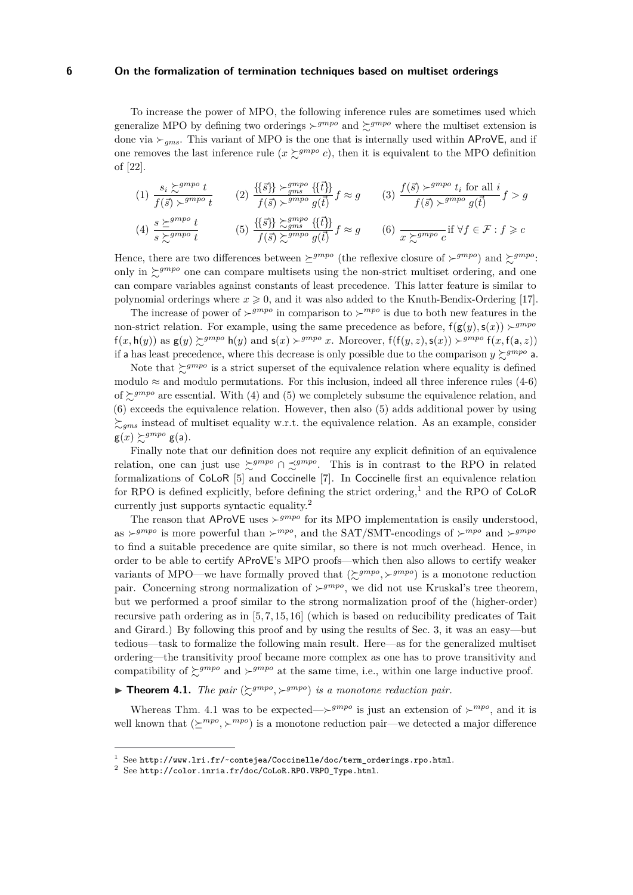To increase the power of MPO, the following inference rules are sometimes used which generalize MPO by defining two orderings  $\succ^{gmpo}$  and  $\succsim^{gmpo}$  where the multiset extension is done via  $\succ_{ams}$ . This variant of MPO is the one that is internally used within AProVE, and if one removes the last inference rule  $(x \succcurlyeq^{gmpo} c)$ , then it is equivalent to the MPO definition of [\[22\]](#page-15-5).

$$
(1) \frac{s_i \sum^{gmpo} t}{f(\vec{s}) \succ^{gmpo} t} \qquad (2) \frac{\{\{\vec{s}\}\} \succ^{gmpo}_{gms} \{\{\vec{t}\}\}}{f(\vec{s}) \succ^{gmpo} g(\vec{t})} f \approx g \qquad (3) \frac{f(\vec{s}) \succ^{gmpo} t_i \text{ for all } i}{f(\vec{s}) \succ^{gmpo} g(\vec{t})} f > g
$$

$$
(4) \frac{s \succeq^{gmpo} t}{s \succeq^{gmpo} t} \qquad (5) \frac{\{\{\vec{s}\}\} \succeq^{gmpo}_{gms} \{\{\vec{t}\}\}}{f(\vec{s}) \succeq^{gmpo}_{g} g(\vec{t})} f \approx g \qquad (6) \frac{\succeq^{gmpo}_{x \succeq^{gmpo} c} \text{if } \forall f \in \mathcal{F} : f \geq c
$$

Hence, there are two differences between  $\succeq^{grnpo}$  (the reflexive closure of  $\succeq^{grnpo}$ ) and  $\succeq^{grnpo}$ : only in  $\zeta^{gmpo}$  one can compare multisets using the non-strict multiset ordering, and one can compare variables against constants of least precedence. This latter feature is similar to polynomial orderings where  $x \ge 0$ , and it was also added to the Knuth-Bendix-Ordering [\[17\]](#page-15-7).

The increase of power of  $\succ^{gmpo}$  in comparison to  $\succ^{mpo}$  is due to both new features in the non-strict relation. For example, using the same precedence as before,  $f(g(y), s(x)) > g^{mpo}$  $f(x, h(y))$  as  $g(y) \geq g^{mpp} h(y)$  and  $s(x) \geq g^{mpp} x$ . Moreover,  $f(f(y, z), s(x)) \geq g^{mpp} f(x, f(a, z))$ if a has least precedence, where this decrease is only possible due to the comparison  $y \succeq gmpo$  a.

Note that  $\sum_{n=1}^{\infty} g^{mpo}$  is a strict superset of the equivalence relation where equality is defined modulo  $\approx$  and modulo permutations. For this inclusion, indeed all three inference rules (4-6) of  $\sum_{n=1}^{\infty} g^{mpo}$  are essential. With (4) and (5) we completely subsume the equivalence relation, and (6) exceeds the equivalence relation. However, then also (5) adds additional power by using  $\sum_{qms}$  instead of multiset equality w.r.t. the equivalence relation. As an example, consider  $g(x) \succsim^{grnpo} g(a)$ .

Finally note that our definition does not require any explicit definition of an equivalence relation, one can just use  $\succcurlyeq^{gmpo} \cap \preceq^{gmpo}$ . This is in contrast to the RPO in related formalizations of CoLoR [\[5\]](#page-14-2) and Coccinelle [\[7\]](#page-15-14). In Coccinelle first an equivalence relation for RPO is defined explicitly, before defining the strict ordering,<sup>1</sup> and the RPO of CoLoR currently just supports syntactic equality.<sup>2</sup>

The reason that AProVE uses  $\succ^{gmpo}$  for its MPO implementation is easily understood, as  $\succ^{gmpo}$  is more powerful than  $\succ^{mpo}$ , and the SAT/SMT-encodings of  $\succ^{mpo}$  and  $\succ^{gmpo}$ to find a suitable precedence are quite similar, so there is not much overhead. Hence, in order to be able to certify AProVE's MPO proofs—which then also allows to certify weaker variants of MPO—we have formally proved that  $(\succsim^{gmpo}, \succ^{gmpo})$  is a monotone reduction pair. Concerning strong normalization of  $\succ^{gmpo}$ , we did not use Kruskal's tree theorem, but we performed a proof similar to the strong normalization proof of the (higher-order) recursive path ordering as in [\[5,](#page-14-2) [7,](#page-15-14) [15,](#page-15-15) [16\]](#page-15-12) (which is based on reducibility predicates of Tait and Girard.) By following this proof and by using the results of Sec. [3,](#page-2-0) it was an easy—but tedious—task to formalize the following main result. Here—as for the generalized multiset ordering—the transitivity proof became more complex as one has to prove transitivity and compatibility of  $\sum g^{mpo}$  and  $\rho^{mpo}$  at the same time, i.e., within one large inductive proof.

<span id="page-5-0"></span>**Theorem 4.1.** The pair  $(\succsim^{gmpo}, \succsim^{gmpo})$  is a monotone reduction pair.

Whereas Thm. [4.1](#page-5-0) was to be expected— $\succ^{gmpo}$  is just an extension of  $\succ^{mpo}$ , and it is well known that  $(\succeq^{mpo}, \succeq^{mpo})$  is a monotone reduction pair—we detected a major difference

<sup>1</sup> See [http://www.lri.fr/~contejea/Coccinelle/doc/term\\_orderings.rpo.html](http://www.lri.fr/~contejea/Coccinelle/doc/term_orderings.rpo.html).

 $2$  See [http://color.inria.fr/doc/CoLoR.RPO.VRPO\\_Type.html](http://color.inria.fr/doc/CoLoR.RPO.VRPO_Type.html).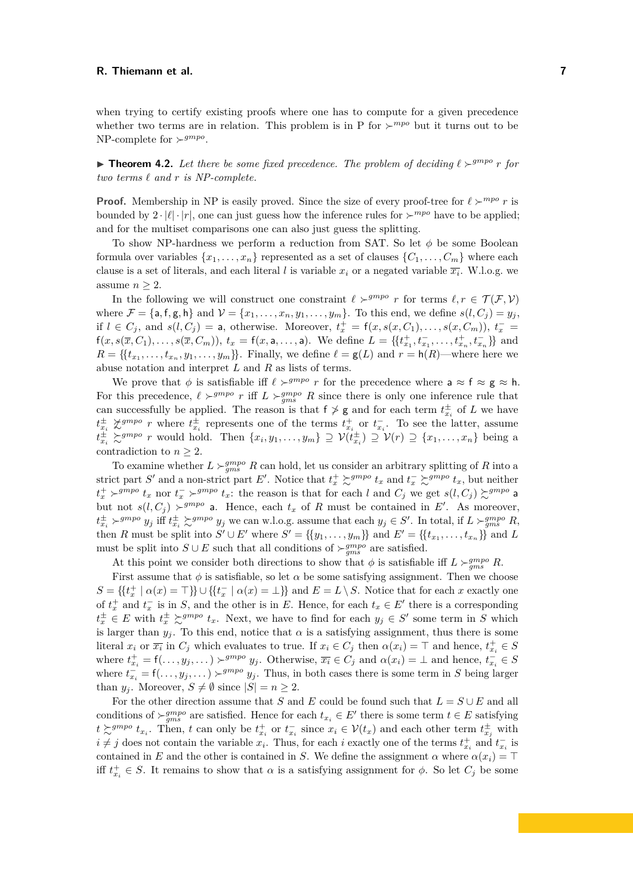when trying to certify existing proofs where one has to compute for a given precedence whether two terms are in relation. This problem is in P for  $\succ^{mpo}$  but it turns out to be NP-complete for  $\succ^{gmpo}$ .

<span id="page-6-0"></span>**Influence 1.2.** Let there be some fixed precedence. The problem of deciding  $\ell >^{gmpo} r$  for  $two$   $terms$   $\ell$   $and$   $r$   $is$   $NP-complete$ .

**Proof.** Membership in NP is easily proved. Since the size of every proof-tree for  $\ell \succ^{mpo} r$  is bounded by  $2 \cdot |\ell| \cdot |r|$ , one can just guess how the inference rules for  $\succ^{mpo}$  have to be applied; and for the multiset comparisons one can also just guess the splitting.

To show NP-hardness we perform a reduction from SAT. So let  $\phi$  be some Boolean formula over variables  $\{x_1, \ldots, x_n\}$  represented as a set of clauses  $\{C_1, \ldots, C_m\}$  where each clause is a set of literals, and each literal l is variable  $x_i$  or a negated variable  $\overline{x_i}$ . W.l.o.g. we assume  $n \geq 2$ .

In the following we will construct one constraint  $\ell \succ^{grmpo} r$  for terms  $\ell, r \in \mathcal{T}(\mathcal{F}, \mathcal{V})$ where  $\mathcal{F} = \{a, f, g, h\}$  and  $\mathcal{V} = \{x_1, \ldots, x_n, y_1, \ldots, y_m\}$ . To this end, we define  $s(l, C_i) = y_i$ , if  $l \in C_j$ , and  $s(l, C_j) = a$ , otherwise. Moreover,  $t_x^+ = f(x, s(x, C_1), \ldots, s(x, C_m))$ ,  $t_x^- =$  $f(x, s(\overline{x}, C_1), \ldots, s(\overline{x}, C_m)), t_x = f(x, a, \ldots, a)$ . We define  $L = \{\{t_{x_1}^+, t_{x_1}^-, \ldots, t_{x_n}^+, t_{x_n}^-\}\}\$  and  $R = \{\{t_{x_1}, \ldots, t_{x_n}, y_1, \ldots, y_m\}\}\.$  Finally, we define  $\ell = g(L)$  and  $r = h(R)$ —where here we abuse notation and interpret  $L$  and  $R$  as lists of terms.

We prove that  $\phi$  is satisfiable iff  $\ell \succ^{gmpo} r$  for the precedence where  $a \approx f \approx g \approx h$ . For this precedence,  $\ell >^{gmpo} r$  iff  $L >^{gmpo} g$  R since there is only one inference rule that can successfully be applied. The reason is that  $f \ge g$  and for each term  $t_{x_i}^{\pm}$  of L we have  $t_{x_i}^{\pm} \not\geq g^{mpo}$  *r* where  $t_{x_i}^{\pm}$  represents one of the terms  $t_{x_i}^{\pm}$  or  $t_{x_i}^-$ . To see the latter, assume  $t_{x_i}^{\pm} \succsim^{gmpo} r$  would hold. Then  $\{x_i, y_1, \ldots, y_m\} \supseteq \mathcal{V}(t_{x_i}^{\pm}) \supseteq \mathcal{V}(r) \supseteq \{x_1, \ldots, x_n\}$  being a contradiction to  $n \geq 2$ .

To examine whether  $L \succ_{gms} g^{mpo} R$  can hold, let us consider an arbitrary splitting of R into a strict part S' and a non-strict part E'. Notice that  $t_x^+ \gtrsim^{gmpo} t_x$  and  $t_x^- \gtrsim^{gmpo} t_x$ , but neither  $t_x^+ \succ^{gmpo} t_x$  nor  $t_x^- \succ^{gmpo} t_x$ : the reason is that for each l and  $C_j$  we get  $s(l, C_j) \succsim^{gmpo}$  a but not  $s(l, C_j) \succ^{gmpo}$  a. Hence, each  $t_x$  of R must be contained in E'. As moreover,  $t_{x_i}^{\pm} \succ^{gmpo} y_j$  iff  $t_{x_i}^{\pm} \succsim^{gmpo} y_j$  we can w.l.o.g. assume that each  $y_j \in S'$ . In total, if  $L \succ_{gms}^{gmpo} R$ , then R must be split into  $S' \cup E'$  where  $S' = \{\{y_1, \ldots, y_m\}\}\$  and  $E' = \{\{t_{x_1}, \ldots, t_{x_n}\}\}\$  and L must be split into  $S \cup E$  such that all conditions of  $\succ_{gms}^{gmpo}$  are satisfied.

At this point we consider both directions to show that  $\phi$  is satisfiable iff  $L \succ_{gms}^{gmpo} R$ .

First assume that  $\phi$  is satisfiable, so let  $\alpha$  be some satisfying assignment. Then we choose  $S = \{ \{t_x^+ \mid \alpha(x) = \top \} \} \cup \{ \{t_x^- \mid \alpha(x) = \bot \} \}$  and  $E = L \setminus S$ . Notice that for each x exactly one of  $t_x^+$  and  $t_x^-$  is in S, and the other is in E. Hence, for each  $t_x \in E'$  there is a corresponding  $t_x^{\pm} \in E$  with  $t_x^{\pm} \succeq^{gmpo} t_x$ . Next, we have to find for each  $y_j \in S'$  some term in S which is larger than  $y_j$ . To this end, notice that  $\alpha$  is a satisfying assignment, thus there is some literal  $x_i$  or  $\overline{x_i}$  in  $C_j$  which evaluates to true. If  $x_i \in C_j$  then  $\alpha(x_i) = \top$  and hence,  $t_{x_i}^+ \in S$ where  $t_{x_i}^+ = \mathsf{f}(\ldots, y_j, \ldots) \succ^{gmpo} y_j$ . Otherwise,  $\overline{x_i} \in C_j$  and  $\alpha(x_i) = \bot$  and hence,  $t_{x_i}^- \in S$ where  $t_{x_i}^- = \mathsf{f}(\ldots, y_j, \ldots) \succ^{gmpo} y_j$ . Thus, in both cases there is some term in S being larger than  $y_j$ . Moreover,  $S \neq \emptyset$  since  $|S| = n \geq 2$ .

For the other direction assume that S and E could be found such that  $L = S \cup E$  and all conditions of  $\succ_{gms}^{gmpo}$  are satisfied. Hence for each  $t_{x_i} \in E'$  there is some term  $t \in E$  satisfying  $t \gtrsim g^{mpo} t_{x_i}$ . Then, t can only be  $t_{x_i}^+$  or  $t_{x_i}^-$  since  $x_i \in \mathcal{V}(t_x)$  and each other term  $t_{x_i}^{\pm}$  with  $i \neq j$  does not contain the variable  $x_i$ . Thus, for each i exactly one of the terms  $t_{x_i}^+$  and  $t_{x_i}^-$  is contained in E and the other is contained in S. We define the assignment  $\alpha$  where  $\alpha(x_i) = \top$ iff  $t_{x_i}^+ \in S$ . It remains to show that  $\alpha$  is a satisfying assignment for  $\phi$ . So let  $C_j$  be some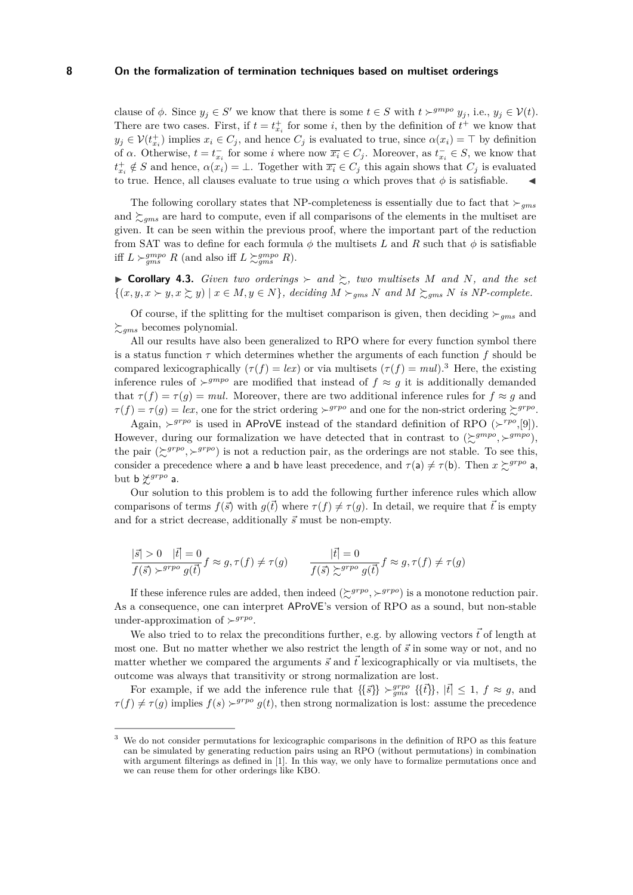clause of  $\phi$ . Since  $y_j \in S'$  we know that there is some  $t \in S$  with  $t \succ^{gmpo} y_j$ , i.e.,  $y_j \in V(t)$ . There are two cases. First, if  $t = t_{x_i}^+$  for some i, then by the definition of  $t^+$  we know that  $y_j \in \mathcal{V}(t_{x_i}^+)$  implies  $x_i \in C_j$ , and hence  $C_j$  is evaluated to true, since  $\alpha(x_i) = \top$  by definition of  $\alpha$ . Otherwise,  $t = t_{x_i}^-$  for some i where now  $\overline{x_i} \in C_j$ . Moreover, as  $t_{x_i}^- \in S$ , we know that  $t_{x_i}^+ \notin S$  and hence,  $\alpha(x_i) = \bot$ . Together with  $\overline{x_i} \in C_j$  this again shows that  $C_j$  is evaluated to true. Hence, all clauses evaluate to true using  $\alpha$  which proves that  $\phi$  is satisfiable.

The following corollary states that NP-completeness is essentially due to fact that  $\succ_{qms}$ and  $\gtrsim_{qms}$  are hard to compute, even if all comparisons of the elements in the multiset are given. It can be seen within the previous proof, where the important part of the reduction from SAT was to define for each formula  $\phi$  the multisets L and R such that  $\phi$  is satisfiable iff  $L \succ_{gms}^{gmpo} R$  (and also iff  $L \succ_{gms}^{gmpo} R$ ).

 $\triangleright$  **Corollary 4.3.** *Given two orderings*  $\succ$  *and*  $\succsim$ *, two multisets* M *and* N, *and the set*  $\{(x, y, x \succ y, x \succ z, y) \mid x \in M, y \in N\}$ , deciding  $M \succ_{gms} N$  and  $M \succ_{gms} N$  is NP-complete.

Of course, if the splitting for the multiset comparison is given, then deciding  $\succ_{qms}$  and  $\sum_{gms}$  becomes polynomial.

All our results have also been generalized to RPO where for every function symbol there is a status function  $\tau$  which determines whether the arguments of each function f should be compared lexicographically  $(\tau(f) = lex)$  or via multisets  $(\tau(f) = mul)$ .<sup>3</sup> Here, the existing inference rules of  $\succ^{gmpo}$  are modified that instead of  $f \approx g$  it is additionally demanded that  $\tau(f) = \tau(g) = mul$ . Moreover, there are two additional inference rules for  $f \approx g$  and  $\tau(f) = \tau(g) = lex$ , one for the strict ordering  $\succ^{grpo}$  and one for the non-strict ordering  $\succsim^{grpo}$ .

Again,  $\succ^{grpo}$  is used in AProVE instead of the standard definition of RPO ( $\succ^{rpo}$ , [\[9\]](#page-15-2)). However, during our formalization we have detected that in contrast to  $(\succeq^{gmpo}, \succeq^{gmpo})$ , the pair  $(\gtrsim^{grpo}, \gtrsim^{grpo})$  is not a reduction pair, as the orderings are not stable. To see this, consider a precedence where a and b have least precedence, and  $\tau(a) \neq \tau(b)$ . Then  $x \succcurlyeq^{grpo} a$ , but  $b \nless^{grpo} a$ .

Our solution to this problem is to add the following further inference rules which allow comparisons of terms  $f(\vec{s})$  with  $q(\vec{t})$  where  $\tau(f) \neq \tau(q)$ . In detail, we require that  $\vec{t}$  is empty and for a strict decrease, additionally  $\vec{s}$  must be non-empty.

$$
\frac{|\vec{s}| > 0 \quad |\vec{t}| = 0}{f(\vec{s}) \succ^{g\,p o} g(\vec{t})} f \approx g, \tau(f) \neq \tau(g) \qquad \frac{|\vec{t}| = 0}{f(\vec{s}) \succsim^{g\,p o} g(\vec{t})} f \approx g, \tau(f) \neq \tau(g)
$$

If these inference rules are added, then indeed  $(\succsim^{grpo}, \succ^{grpo})$  is a monotone reduction pair. As a consequence, one can interpret AProVE's version of RPO as a sound, but non-stable under-approximation of  $\succ^{grpo}$ .

We also tried to to relax the preconditions further, e.g. by allowing vectors  $\vec{t}$  of length at most one. But no matter whether we also restrict the length of  $\vec{s}$  in some way or not, and no matter whether we compared the arguments  $\vec{s}$  and  $\vec{t}$  lexicographically or via multisets, the outcome was always that transitivity or strong normalization are lost.

For example, if we add the inference rule that  $\{\{\vec{s}\}\}\succ_{gms}^{g rpo} \{\{\vec{t}\}\}\,$ ,  $|\vec{t}| \leq 1$ ,  $f \approx g$ , and  $\tau(f) \neq \tau(g)$  implies  $f(s) \succ^{grpo} g(t)$ , then strong normalization is lost: assume the precedence

We do not consider permutations for lexicographic comparisons in the definition of RPO as this feature can be simulated by generating reduction pairs using an RPO (without permutations) in combination with argument filterings as defined in [\[1\]](#page-14-3). In this way, we only have to formalize permutations once and we can reuse them for other orderings like KBO.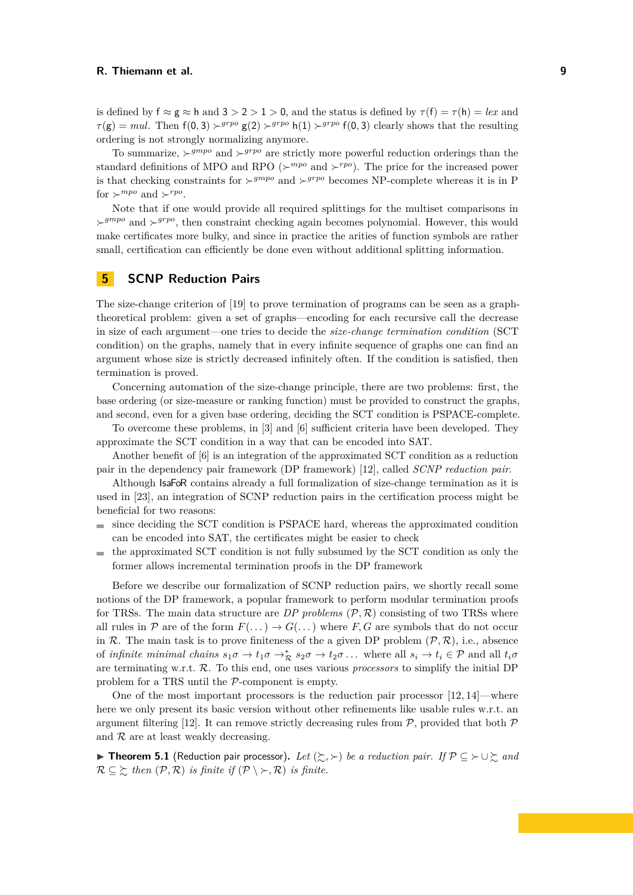is defined by  $f \approx g \approx h$  and  $3 > 2 > 1 > 0$ , and the status is defined by  $\tau(f) = \tau(h) = lex$  and  $\tau(\mathbf{g}) = mul$ . Then  $f(0, 3) \succ^{grpo} g(2) \succ^{grpo} h(1) \succ^{grpo} f(0, 3)$  clearly shows that the resulting ordering is not strongly normalizing anymore.

To summarize,  $\succ^{gmpo}$  and  $\succ^{grpo}$  are strictly more powerful reduction orderings than the standard definitions of MPO and RPO ( $\succ^{mpo}$  and  $\succ^{rpo}$ ). The price for the increased power is that checking constraints for  $\succ^{gmpo}$  and  $\succ^{grpo}$  becomes NP-complete whereas it is in P for  $\succ^{mpo}$  and  $\succ^{rpo}$ .

Note that if one would provide all required splittings for the multiset comparisons in  $\rightarrow^{grpo}$  and  $\rightarrow^{grpo}$ , then constraint checking again becomes polynomial. However, this would make certificates more bulky, and since in practice the arities of function symbols are rather small, certification can efficiently be done even without additional splitting information.

# <span id="page-8-0"></span>**5 SCNP Reduction Pairs**

The size-change criterion of [\[19\]](#page-15-4) to prove termination of programs can be seen as a graphtheoretical problem: given a set of graphs—encoding for each recursive call the decrease in size of each argument—one tries to decide the *size-change termination condition* (SCT condition) on the graphs, namely that in every infinite sequence of graphs one can find an argument whose size is strictly decreased infinitely often. If the condition is satisfied, then termination is proved.

Concerning automation of the size-change principle, there are two problems: first, the base ordering (or size-measure or ranking function) must be provided to construct the graphs, and second, even for a given base ordering, deciding the SCT condition is PSPACE-complete.

To overcome these problems, in [\[3\]](#page-14-0) and [\[6\]](#page-15-3) sufficient criteria have been developed. They approximate the SCT condition in a way that can be encoded into SAT.

Another benefit of [\[6\]](#page-15-3) is an integration of the approximated SCT condition as a reduction pair in the dependency pair framework (DP framework) [\[12\]](#page-15-16), called *SCNP reduction pair*.

Although IsaFoR contains already a full formalization of size-change termination as it is used in [\[23\]](#page-15-17), an integration of SCNP reduction pairs in the certification process might be beneficial for two reasons:

- since deciding the SCT condition is PSPACE hard, whereas the approximated condition  $\blacksquare$ can be encoded into SAT, the certificates might be easier to check
- the approximated SCT condition is not fully subsumed by the SCT condition as only the m. former allows incremental termination proofs in the DP framework

Before we describe our formalization of SCNP reduction pairs, we shortly recall some notions of the DP framework, a popular framework to perform modular termination proofs for TRSs. The main data structure are  $DP$  problems  $(\mathcal{P}, \mathcal{R})$  consisting of two TRSs where all rules in P are of the form  $F(\ldots) \to G(\ldots)$  where F, G are symbols that do not occur in R. The main task is to prove finiteness of the a given DP problem  $(\mathcal{P}, \mathcal{R})$ , i.e., absence of *infinite minimal chains*  $s_1\sigma \to t_1\sigma \to^*_{\mathcal{R}} s_2\sigma \to t_2\sigma \dots$  where all  $s_i \to t_i \in \mathcal{P}$  and all  $t_i\sigma$ are terminating w.r.t. R. To this end, one uses various *processors* to simplify the initial DP problem for a TRS until the P-component is empty.

One of the most important processors is the reduction pair processor [\[12,](#page-15-16) [14\]](#page-15-18)—where here we only present its basic version without other refinements like usable rules w.r.t. an argument filtering [\[12\]](#page-15-16). It can remove strictly decreasing rules from  $P$ , provided that both  $P$ and  $R$  are at least weakly decreasing.

<span id="page-8-1"></span>**► Theorem 5.1** (Reduction pair processor). Let  $(\succsim, \succ)$  be a reduction pair. If  $\mathcal{P} \subseteq \succ \cup \succsim$  and  $\mathcal{R} \subseteq \Sigma$  *then*  $(\mathcal{P}, \mathcal{R})$  *is finite if*  $(\mathcal{P} \setminus \Sigma, \mathcal{R})$  *is finite.*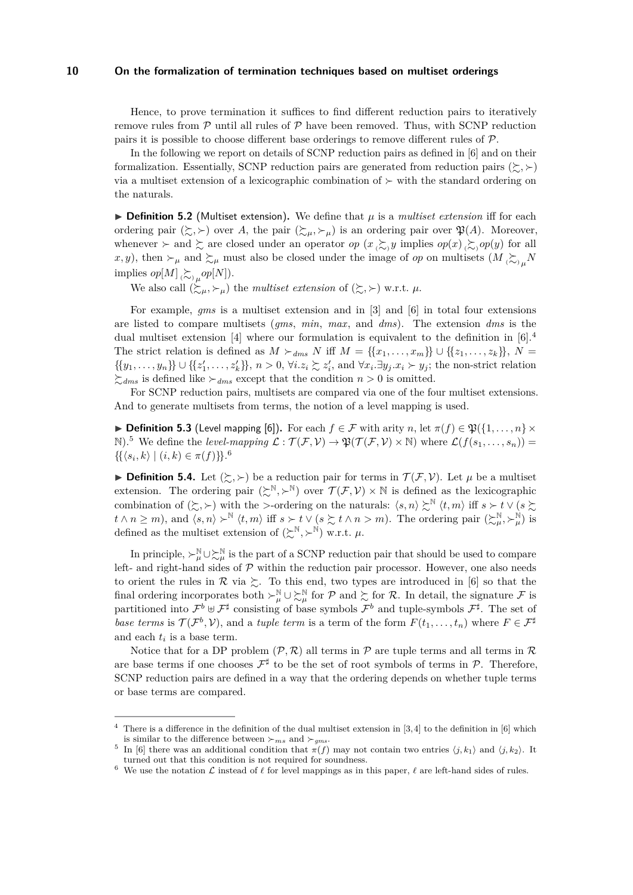Hence, to prove termination it suffices to find different reduction pairs to iteratively remove rules from  $\mathcal P$  until all rules of  $\mathcal P$  have been removed. Thus, with SCNP reduction pairs it is possible to choose different base orderings to remove different rules of P.

In the following we report on details of SCNP reduction pairs as defined in [\[6\]](#page-15-3) and on their formalization. Essentially, SCNP reduction pairs are generated from reduction pairs  $(\succsim, \succ)$ via a multiset extension of a lexicographic combination of  $\succ$  with the standard ordering on the naturals.

 $\triangleright$  **Definition 5.2** (Multiset extension). We define that  $\mu$  is a *multiset extension* iff for each ordering pair  $(\succsim, \succ)$  over A, the pair  $(\succsim,\succ_\mu)$  is an ordering pair over  $\mathfrak{P}(A)$ . Moreover, whenever  $\succ$  and  $\succsim$  are closed under an operator op  $(x \succcurlyeq_{\infty} y$  implies  $op(x) \succcurlyeq_{\infty} op(y)$  for all x, y), then  $\succ_\mu$  and  $\succsim_\mu$  must also be closed under the image of *op* on multisets  $(M \gtrsim_\mu N)$ implies  $op[M] \sum_{(\sim)\mu} op[N]$ .

We also call  $(\succcurlyeq_{\mu}, \succ_{\mu})$  the *multiset extension* of  $(\succcurlyeq, \succ)$  w.r.t.  $\mu$ .

For example, *gms* is a multiset extension and in [\[3\]](#page-14-0) and [\[6\]](#page-15-3) in total four extensions are listed to compare multisets (*gms*, *min*, *max*, and *dms*). The extension *dms* is the dual multiset extension [\[4\]](#page-14-4) where our formulation is equivalent to the definition in  $[6]$ .<sup>4</sup> The strict relation is defined as  $M \succ_{dms} N$  iff  $M = \{\{x_1, \ldots, x_m\}\}\cup \{\{z_1, \ldots, z_k\}\}\,$ ,  $N =$  $\{\{y_1,\ldots,y_n\}\}\cup\{\{z'_1,\ldots,z'_k\}\}\,$ ,  $n>0$ ,  $\forall i.z_i\succsim z'_i$ , and  $\forall x_i.\exists y_j.x_i\succ y_j$ ; the non-strict relation  $\sum_{dms}$  is defined like  $\succ_{dms}$  except that the condition  $n > 0$  is omitted.

For SCNP reduction pairs, multisets are compared via one of the four multiset extensions. And to generate multisets from terms, the notion of a level mapping is used.

**► Definition 5.3** (Level mapping [\[6\]](#page-15-3)). For each  $f \in \mathcal{F}$  with arity n, let  $\pi(f) \in \mathfrak{P}(\{1,\ldots,n\} \times$ N).<sup>5</sup> We define the *level-mapping*  $\mathcal{L} : \mathcal{T}(\mathcal{F}, \mathcal{V}) \to \mathfrak{P}(\mathcal{T}(\mathcal{F}, \mathcal{V}) \times \mathbb{N})$  where  $\mathcal{L}(f(s_1, \ldots, s_n)) =$  $\{ {\langle s_i, k \rangle \mid (i, k) \in \pi(f) \} \}$ .<sup>6</sup>

**Definition 5.4.** Let  $(\succsim, \succ)$  be a reduction pair for terms in  $\mathcal{T}(\mathcal{F}, \mathcal{V})$ . Let  $\mu$  be a multiset extension. The ordering pair  $(\succcurlyeq^{\mathbb{N}}, \succ^{\mathbb{N}})$  over  $\mathcal{T}(\mathcal{F}, \mathcal{V}) \times \mathbb{N}$  is defined as the lexicographic combination of  $(\succsim, \succ)$  with the >-ordering on the naturals:  $\langle s, n \rangle \succsim^{\mathbb{N}} \langle t, m \rangle$  iff  $s \succ t \vee (s \succsim$  $t \wedge n \geq m$ , and  $\langle s, n \rangle \succ^{\mathbb{N}} \langle t, m \rangle$  iff  $s \succ t \vee (s \succsim t \wedge n > m)$ . The ordering pair  $(\succsim^{\mathbb{N}}_{\mu}, \succ^{\mathbb{N}}_{\mu})$  is defined as the multiset extension of  $(\succcurlyeq^{\mathbb{N}}, \succ^{\mathbb{N}})$  w.r.t.  $\mu$ .

In principle,  $\succ^{\mathbb{N}}_{\mu}\cup \succsim^{\mathbb{N}}_{\mu}$  is the part of a SCNP reduction pair that should be used to compare left- and right-hand sides of  $P$  within the reduction pair processor. However, one also needs to orient the rules in  $\mathcal R$  via  $\succsim$ . To this end, two types are introduced in [\[6\]](#page-15-3) so that the final ordering incorporates both  $\succ^{\mathbb{N}}_{\mu} \cup \succ^{\mathbb{N}}_{\mu}$  for  $\mathcal{P}$  and  $\succsim$  for  $\mathcal{R}$ . In detail, the signature  $\mathcal{F}$  is partitioned into  $\mathcal{F}^b \cup \mathcal{F}^{\sharp}$  consisting of base symbols  $\mathcal{F}^b$  and tuple-symbols  $\mathcal{F}^{\sharp}$ . The set of *base terms* is  $\mathcal{T}(\mathcal{F}^b, \mathcal{V})$ , and a *tuple term* is a term of the form  $F(t_1, \ldots, t_n)$  where  $F \in \mathcal{F}^{\sharp}$ and each  $t_i$  is a base term.

Notice that for a DP problem  $(\mathcal{P}, \mathcal{R})$  all terms in  $\mathcal{P}$  are tuple terms and all terms in  $\mathcal{R}$ are base terms if one chooses  $\mathcal{F}^{\sharp}$  to be the set of root symbols of terms in  $\mathcal{P}$ . Therefore, SCNP reduction pairs are defined in a way that the ordering depends on whether tuple terms or base terms are compared.

There is a difference in the definition of the dual multiset extension in  $[3,4]$  $[3,4]$  to the definition in  $[6]$  which is similar to the difference between  $\succ_{ms}$  and  $\succ_{qms}$ .

<sup>5</sup> In [\[6\]](#page-15-3) there was an additional condition that  $\pi(f)$  may not contain two entries  $\langle j, k_1 \rangle$  and  $\langle j, k_2 \rangle$ . It turned out that this condition is not required for soundness.

We use the notation  $\mathcal L$  instead of  $\ell$  for level mappings as in this paper,  $\ell$  are left-hand sides of rules.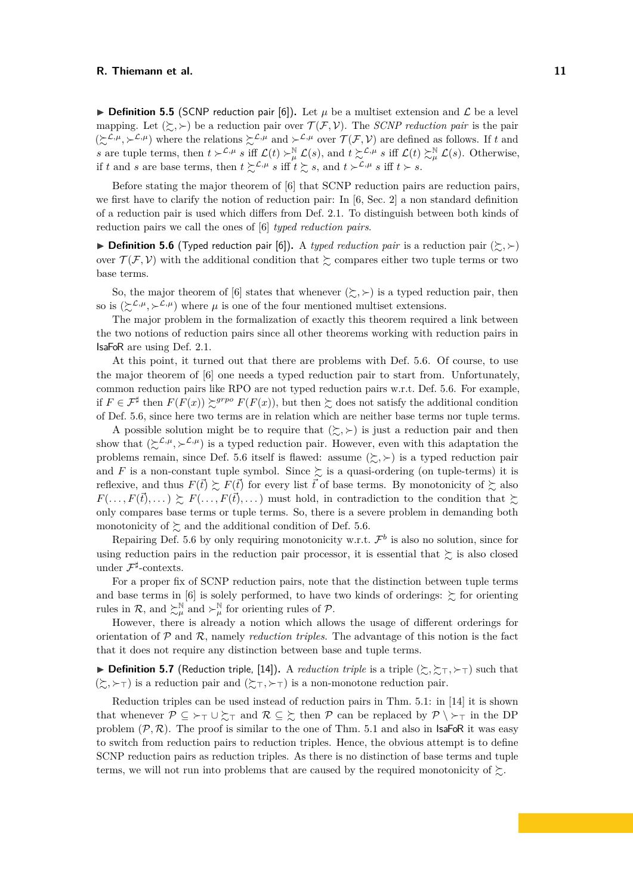**Definition 5.5** (SCNP reduction pair [\[6\]](#page-15-3)). Let  $\mu$  be a multiset extension and  $\mathcal{L}$  be a level mapping. Let  $(\succsim, \succ)$  be a reduction pair over  $\mathcal{T}(\mathcal{F}, \mathcal{V})$ . The *SCNP reduction pair* is the pair  $(\succsim^{L,\mu}, \succ^{L,\mu})$  where the relations  $\succsim^{L,\mu}$  and  $\succ^{L,\mu}$  over  $\mathcal{T}(\mathcal{F}, \mathcal{V})$  are defined as follows. If t and s are tuple terms, then  $t \succ^{\mathcal{L},\mu} s$  iff  $\mathcal{L}(t) \succ^{\mathbb{N}}_{\mu} \mathcal{L}(s)$ , and  $t \succsim^{\mathcal{L},\mu} s$  iff  $\mathcal{L}(t) \succsim^{\mathbb{N}}_{\mu} \mathcal{L}(s)$ . Otherwise, if t and s are base terms, then  $t \succsim^{\mathcal{L}, \mu} s$  iff  $t \succsim s$ , and  $t \succ^{\mathcal{L}, \mu} s$  iff  $t \succ s$ .

Before stating the major theorem of [\[6\]](#page-15-3) that SCNP reduction pairs are reduction pairs, we first have to clarify the notion of reduction pair: In  $[6, \text{Sec. 2}]$  $[6, \text{Sec. 2}]$  a non standard definition of a reduction pair is used which differs from Def. [2.1.](#page-2-6) To distinguish between both kinds of reduction pairs we call the ones of [\[6\]](#page-15-3) *typed reduction pairs*.

<span id="page-10-0"></span>**Definition 5.6** (Typed reduction pair [\[6\]](#page-15-3)). A *typed reduction pair* is a reduction pair  $(\succsim, \succ)$ over  $\mathcal{T}(\mathcal{F}, \mathcal{V})$  with the additional condition that  $\succsim$  compares either two tuple terms or two base terms.

So, the major theorem of [\[6\]](#page-15-3) states that whenever  $(\succsim, \succ)$  is a typed reduction pair, then so is  $(\succcurlyeq^{\mathcal{L},\mu},\succ^{\mathcal{L},\mu})$  where  $\mu$  is one of the four mentioned multiset extensions.

The major problem in the formalization of exactly this theorem required a link between the two notions of reduction pairs since all other theorems working with reduction pairs in IsaFoR are using Def. [2.1.](#page-2-6)

At this point, it turned out that there are problems with Def. [5.6.](#page-10-0) Of course, to use the major theorem of [\[6\]](#page-15-3) one needs a typed reduction pair to start from. Unfortunately, common reduction pairs like RPO are not typed reduction pairs w.r.t. Def. [5.6.](#page-10-0) For example, if  $F \in \mathcal{F}^{\sharp}$  then  $F(F(x)) \succeq^{grpo} F(F(x))$ , but then  $\succeq$  does not satisfy the additional condition of Def. [5.6,](#page-10-0) since here two terms are in relation which are neither base terms nor tuple terms.

A possible solution might be to require that  $(\succsim, \succ)$  is just a reduction pair and then show that  $(\Sigma^{\mathcal{L},\mu}, \Sigma^{\mathcal{L},\mu})$  is a typed reduction pair. However, even with this adaptation the problems remain, since Def. [5.6](#page-10-0) itself is flawed: assume  $(\succsim, \succ)$  is a typed reduction pair and F is a non-constant tuple symbol. Since  $\gtrsim$  is a quasi-ordering (on tuple-terms) it is reflexive, and thus  $F(\vec{t}) \succeq F(\vec{t})$  for every list  $\vec{t}$  of base terms. By monotonicity of  $\succeq$  also  $F(\ldots, F(\vec{t}), \ldots) \succeq F(\ldots, F(\vec{t}), \ldots)$  must hold, in contradiction to the condition that  $\succeq$ only compares base terms or tuple terms. So, there is a severe problem in demanding both monotonicity of  $\succsim$  and the additional condition of Def. [5.6.](#page-10-0)

Repairing Def. [5.6](#page-10-0) by only requiring monotonicity w.r.t.  $\mathcal{F}^b$  is also no solution, since for using reduction pairs in the reduction pair processor, it is essential that  $\succeq$  is also closed under  $\mathcal{F}^{\sharp}$ -contexts.

For a proper fix of SCNP reduction pairs, note that the distinction between tuple terms and base terms in [\[6\]](#page-15-3) is solely performed, to have two kinds of orderings:  $\gtrsim$  for orienting rules in R, and  $\succ^{\mathbb{N}}_{\mu}$  and  $\succ^{\mathbb{N}}_{\mu}$  for orienting rules of P.

However, there is already a notion which allows the usage of different orderings for orientation of P and R, namely *reduction triples*. The advantage of this notion is the fact that it does not require any distinction between base and tuple terms.

**Definition 5.7** (Reduction triple, [\[14\]](#page-15-18)). A *reduction triple* is a triple  $(\succsim, \succsim_T, \succ_T)$  such that  $(\succsim, \succ$ <sub>T</sub>) is a reduction pair and  $(\succsim, \succ$ <sub>T</sub>) is a non-monotone reduction pair.

Reduction triples can be used instead of reduction pairs in Thm. [5.1:](#page-8-1) in [\[14\]](#page-15-18) it is shown that whenever  $\mathcal{P} \subseteq \rightarrow_{\top} \cup \succsim_{\top}$  and  $\mathcal{R} \subseteq \succsim$  then  $\mathcal{P}$  can be replaced by  $\mathcal{P} \setminus \rightarrow_{\top}$  in the DP problem  $(\mathcal{P}, \mathcal{R})$ . The proof is similar to the one of Thm. [5.1](#page-8-1) and also in **IsaFoR** it was easy to switch from reduction pairs to reduction triples. Hence, the obvious attempt is to define SCNP reduction pairs as reduction triples. As there is no distinction of base terms and tuple terms, we will not run into problems that are caused by the required monotonicity of  $\succsim$ .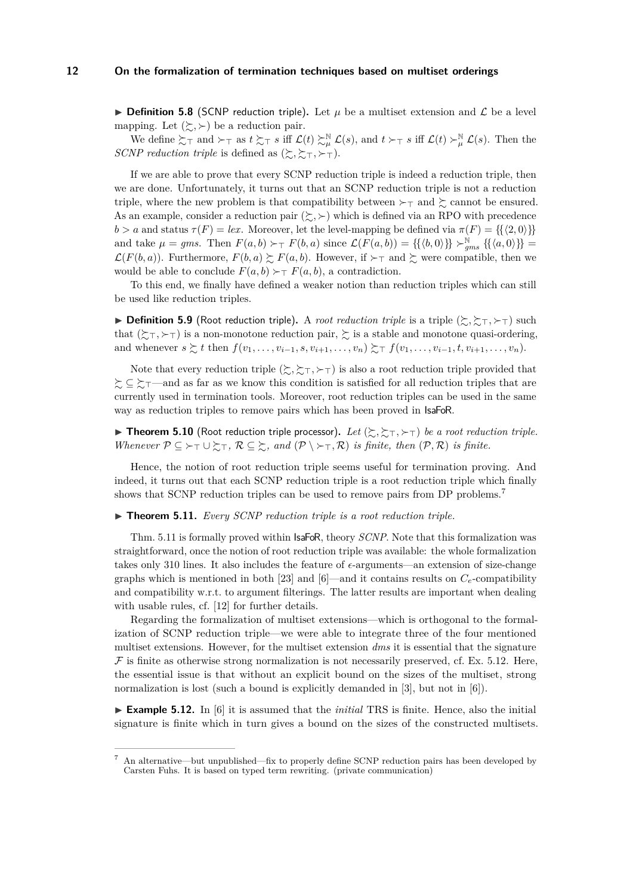**Definition 5.8** (SCNP reduction triple). Let  $\mu$  be a multiset extension and  $\mathcal{L}$  be a level mapping. Let  $(\succsim, \succ)$  be a reduction pair.

We define  $\Sigma_{\top}$  and  $\succ_{\top}$  as  $t \succ_{\top} s$  iff  $\mathcal{L}(t) \succ_{\mu}^{\mathbb{N}} \mathcal{L}(s)$ , and  $t \succ_{\top} s$  iff  $\mathcal{L}(t) \succ_{\mu}^{\mathbb{N}} \mathcal{L}(s)$ . Then the *SCNP reduction triple* is defined as  $(\succsim, \succsim_{\top}, \succ_{\top})$ .

If we are able to prove that every SCNP reduction triple is indeed a reduction triple, then we are done. Unfortunately, it turns out that an SCNP reduction triple is not a reduction triple, where the new problem is that compatibility between  $\succ_\top$  and  $\succsim$  cannot be ensured. As an example, consider a reduction pair  $(\succ, \succ)$  which is defined via an RPO with precedence  $b > a$  and status  $\tau(F) = lex$ . Moreover, let the level-mapping be defined via  $\pi(F) = \{\{\langle 2, 0 \rangle\}\}\$ and take  $\mu = gms$ . Then  $F(a, b) \succ_T F(b, a)$  since  $\mathcal{L}(F(a, b)) = \{ \{ \langle b, 0 \rangle \} \} \succ_{gms}^{\mathbb{N}} \{ \{ \langle a, 0 \rangle \} \} =$  $\mathcal{L}(F(b,a))$ . Furthermore,  $F(b,a) \succsim F(a,b)$ . However, if  $\succ_\top$  and  $\succsim$  were compatible, then we would be able to conclude  $F(a, b) \succ_T F(a, b)$ , a contradiction.

To this end, we finally have defined a weaker notion than reduction triples which can still be used like reduction triples.

**Definition 5.9** (Root reduction triple). A *root reduction triple* is a triple  $(\succsim, \succsim_{\top}, \succsim_{\top})$  such that  $(\succsim_{\top}, \succ_{\top})$  is a non-monotone reduction pair,  $\succsim$  is a stable and monotone quasi-ordering, and whenever  $s \succsim t$  then  $f(v_1, \ldots, v_{i-1}, s, v_{i+1}, \ldots, v_n) \succsim_{\tau} f(v_1, \ldots, v_{i-1}, t, v_{i+1}, \ldots, v_n)$ .

Note that every reduction triple  $(\succsim, \succsim, \succ$ ) is also a root reduction triple provided that  $\zeta$  ⊆  $\zeta$ <sub>T</sub>—and as far as we know this condition is satisfied for all reduction triples that are currently used in termination tools. Moreover, root reduction triples can be used in the same way as reduction triples to remove pairs which has been proved in IsaFoR.

**Fineorem 5.10** (Root reduction triple processor). Let  $(\succsim, \succsim_{\top}, \succq_{\top})$  be a root reduction triple. *Whenever*  $P \subseteq \rightarrow_{\top} \cup \succsim_{\top}$ ,  $R \subseteq \succsim$ , and  $(P \setminus \rightarrow_{\top} R)$  *is finite, then*  $(P, R)$  *is finite.* 

Hence, the notion of root reduction triple seems useful for termination proving. And indeed, it turns out that each SCNP reduction triple is a root reduction triple which finally shows that SCNP reduction triples can be used to remove pairs from DP problems.<sup>7</sup>

<span id="page-11-0"></span> $\blacktriangleright$  **Theorem 5.11.** *Every SCNP reduction triple is a root reduction triple.* 

Thm. [5.11](#page-11-0) is formally proved within IsaFoR, theory *SCNP*. Note that this formalization was straightforward, once the notion of root reduction triple was available: the whole formalization takes only 310 lines. It also includes the feature of  $\epsilon$ -arguments—an extension of size-change graphs which is mentioned in both [\[23\]](#page-15-17) and [\[6\]](#page-15-3)—and it contains results on  $C_e$ -compatibility and compatibility w.r.t. to argument filterings. The latter results are important when dealing with usable rules, cf. [\[12\]](#page-15-16) for further details.

Regarding the formalization of multiset extensions—which is orthogonal to the formalization of SCNP reduction triple—we were able to integrate three of the four mentioned multiset extensions. However, for the multiset extension *dms* it is essential that the signature  $\mathcal F$  is finite as otherwise strong normalization is not necessarily preserved, cf. Ex. [5.12.](#page-11-1) Here, the essential issue is that without an explicit bound on the sizes of the multiset, strong normalization is lost (such a bound is explicitly demanded in [\[3\]](#page-14-0), but not in [\[6\]](#page-15-3)).

<span id="page-11-1"></span>► **Example 5.12.** In [\[6\]](#page-15-3) it is assumed that the *initial* TRS is finite. Hence, also the initial signature is finite which in turn gives a bound on the sizes of the constructed multisets.

<sup>7</sup> An alternative—but unpublished—fix to properly define SCNP reduction pairs has been developed by Carsten Fuhs. It is based on typed term rewriting. (private communication)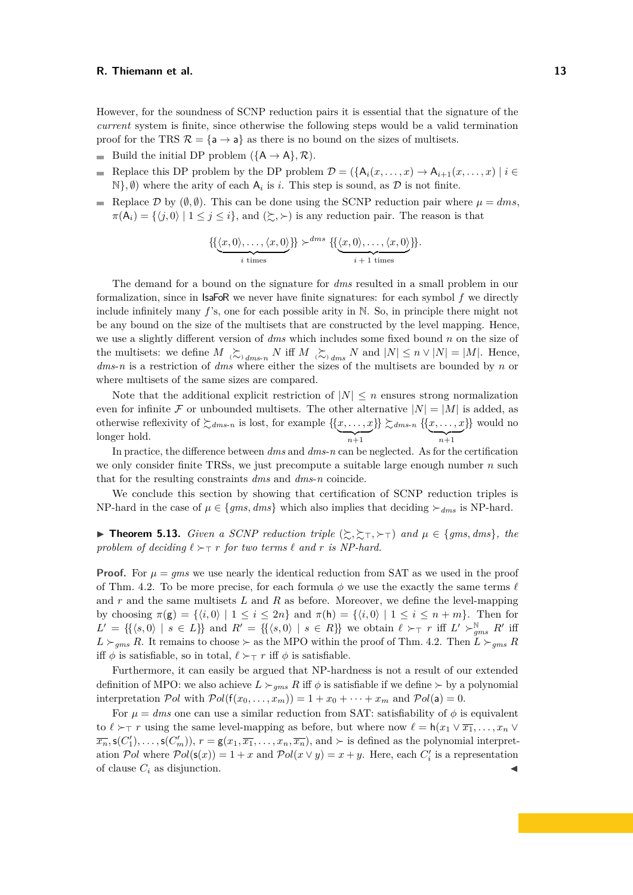However, for the soundness of SCNP reduction pairs it is essential that the signature of the *current* system is finite, since otherwise the following steps would be a valid termination proof for the TRS  $\mathcal{R} = {\mathsf{a} \to \mathsf{a}}$  as there is no bound on the sizes of multisets.

- Build the initial DP problem  $({A \rightarrow A}, R)$ .
- Replace this DP problem by the DP problem  $\mathcal{D} = (\{A_i(x, \ldots, x) \rightarrow A_{i+1}(x, \ldots, x) \mid i \in$  $\mathbb{N}$ ,  $\emptyset$ ) where the arity of each  $A_i$  is *i*. This step is sound, as  $\mathcal D$  is not finite.
- Replace D by  $(\emptyset, \emptyset)$ . This can be done using the SCNP reduction pair where  $\mu = dms$ ,  $\pi(A_i) = \{ \langle j, 0 \rangle | 1 \leq j \leq i \},\$ and  $(\succsim, \succ)$  is any reduction pair. The reason is that

$$
\{\{\underbrace{\langle x,0\rangle,\ldots,\langle x,0\rangle}_{i \text{ times}}\}\}^{\text{dms}}\} \left\{\{\underbrace{\langle x,0\rangle,\ldots,\langle x,0\rangle}_{i+1 \text{ times}}\}\right\}.
$$

The demand for a bound on the signature for *dms* resulted in a small problem in our formalization, since in  $IsaF\circ R$  we never have finite signatures: for each symbol f we directly include infinitely many  $f$ 's, one for each possible arity in N. So, in principle there might not be any bound on the size of the multisets that are constructed by the level mapping. Hence, we use a slightly different version of *dms* which includes some fixed bound n on the size of the multisets: we define  $M \gtrsim_{j,dms-n} N$  iff  $M \gtrsim_{j,dms} N$  and  $|N| \leq n \vee |N| = |M|$ . Hence, *dms*-*n* is a restriction of *dms* where either the sizes of the multisets are bounded by n or where multisets of the same sizes are compared.

Note that the additional explicit restriction of  $|N| \leq n$  ensures strong normalization even for infinite F or unbounded multisets. The other alternative  $|N| = |M|$  is added, as otherwise reflexivity of  $\succsim d_{ms-n}$  is lost, for example  $\{\{x, \ldots, x\}$  $\overline{n+1}$  $\{\}\succcurlyeq_{dms-n}\{\{x,\ldots,x\}$  $\overline{n+1}$ }} would no longer hold.

In practice, the difference between *dms* and *dms*-*n* can be neglected. As for the certification we only consider finite TRSs, we just precompute a suitable large enough number  $n$  such that for the resulting constraints *dms* and *dms*-*n* coincide.

We conclude this section by showing that certification of SCNP reduction triples is NP-hard in the case of  $\mu \in \{gms, dms\}$  which also implies that deciding  $\succ_{dms}$  is NP-hard.

**► Theorem 5.13.** *Given a SCNP reduction triple*  $(\succsim, \succsim_{\top}, \succq_{\top})$  *and*  $\mu \in \{gms, dms\}$ *, the* problem of deciding  $\ell \succ_\top r$  for two terms  $\ell$  and  $r$  *is NP-hard.* 

**Proof.** For  $\mu = gms$  we use nearly the identical reduction from SAT as we used in the proof of Thm. [4.2.](#page-6-0) To be more precise, for each formula  $\phi$  we use the exactly the same terms  $\ell$ and  $r$  and the same multisets  $L$  and  $R$  as before. Moreover, we define the level-mapping by choosing  $\pi(g) = \{ \langle i, 0 \rangle \mid 1 \leq i \leq 2n \}$  and  $\pi(h) = \{ \langle i, 0 \rangle \mid 1 \leq i \leq n + m \}$ . Then for  $L' = \{\{\langle s, 0 \rangle | s \in L\}\}\$ and  $R' = \{\{\langle s, 0 \rangle | s \in R\}\}\$ we obtain  $\ell \succ_\top r$  iff  $L' \succ_{gms}^\mathbb{N} R'$  iff  $L \succ_{gms} R$ . It remains to choose  $\succ$  as the MPO within the proof of Thm. [4.2.](#page-6-0) Then  $L \succ_{gms} R$ iff  $\phi$  is satisfiable, so in total,  $\ell \succ_\top r$  iff  $\phi$  is satisfiable.

Furthermore, it can easily be argued that NP-hardness is not a result of our extended definition of MPO: we also achieve  $L \succ_{qms} R$  iff  $\phi$  is satisfiable if we define  $\succ$  by a polynomial interpretation Pol with  $Pol(f(x_0, \ldots, x_m)) = 1 + x_0 + \cdots + x_m$  and  $Pol(a) = 0$ .

For  $\mu = dms$  one can use a similar reduction from SAT: satisfiability of  $\phi$  is equivalent to  $\ell > \tau$  r using the same level-mapping as before, but where now  $\ell = h(x_1 \vee \overline{x_1}, \ldots, x_n \vee \overline{x_n})$  $\overline{x_n}$ ,  $\mathsf{s}(C'_1), \ldots, \mathsf{s}(C'_m)$ ,  $r = \mathsf{g}(x_1, \overline{x_1}, \ldots, x_n, \overline{x_n})$ , and  $\succ$  is defined as the polynomial interpretation Pol where  $Pol(s(x)) = 1 + x$  and  $Pol(x \vee y) = x + y$ . Here, each  $C'_i$  is a representation of clause  $C_i$  as disjunction.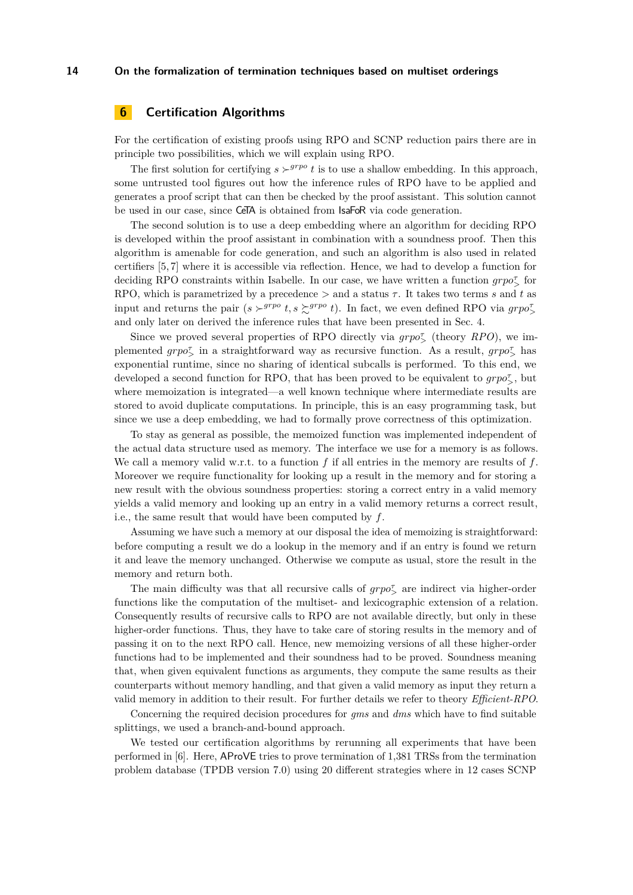# <span id="page-13-0"></span>**6 Certification Algorithms**

For the certification of existing proofs using RPO and SCNP reduction pairs there are in principle two possibilities, which we will explain using RPO.

The first solution for certifying  $s \succ^{grpo} t$  is to use a shallow embedding. In this approach, some untrusted tool figures out how the inference rules of RPO have to be applied and generates a proof script that can then be checked by the proof assistant. This solution cannot be used in our case, since CeTA is obtained from IsaFoR via code generation.

The second solution is to use a deep embedding where an algorithm for deciding RPO is developed within the proof assistant in combination with a soundness proof. Then this algorithm is amenable for code generation, and such an algorithm is also used in related certifiers [\[5,](#page-14-2) [7\]](#page-15-14) where it is accessible via reflection. Hence, we had to develop a function for deciding RPO constraints within Isabelle. In our case, we have written a function  $\text{gro}_{> 0}^{\tau}$  for RPO, which is parametrized by a precedence  $>$  and a status  $\tau$ . It takes two terms s and t as input and returns the pair  $(s \succ^{grpo} t, s \succsim^{grpo} t)$ . In fact, we even defined RPO via  $grpo^{\tau}_{\geq}$ and only later on derived the inference rules that have been presented in Sec. [4.](#page-4-0)

Since we proved several properties of RPO directly via  $\text{grpo}^{\tau}_{\geq}$  (theory *RPO*), we implemented  $g r p o^{\tau}$  in a straightforward way as recursive function. As a result,  $g r p o^{\tau}$  has exponential runtime, since no sharing of identical subcalls is performed. To this end, we developed a second function for RPO, that has been proved to be equivalent to  $\text{grp } \sigma^{\tau}_{\geq}$ , but where memoization is integrated—a well known technique where intermediate results are stored to avoid duplicate computations. In principle, this is an easy programming task, but since we use a deep embedding, we had to formally prove correctness of this optimization.

To stay as general as possible, the memoized function was implemented independent of the actual data structure used as memory. The interface we use for a memory is as follows. We call a memory valid w.r.t. to a function f if all entries in the memory are results of f. Moreover we require functionality for looking up a result in the memory and for storing a new result with the obvious soundness properties: storing a correct entry in a valid memory yields a valid memory and looking up an entry in a valid memory returns a correct result, i.e., the same result that would have been computed by  $f$ .

Assuming we have such a memory at our disposal the idea of memoizing is straightforward: before computing a result we do a lookup in the memory and if an entry is found we return it and leave the memory unchanged. Otherwise we compute as usual, store the result in the memory and return both.

The main difficulty was that all recursive calls of  $grpo^{\pi}_{\geq}$  are indirect via higher-order functions like the computation of the multiset- and lexicographic extension of a relation. Consequently results of recursive calls to RPO are not available directly, but only in these higher-order functions. Thus, they have to take care of storing results in the memory and of passing it on to the next RPO call. Hence, new memoizing versions of all these higher-order functions had to be implemented and their soundness had to be proved. Soundness meaning that, when given equivalent functions as arguments, they compute the same results as their counterparts without memory handling, and that given a valid memory as input they return a valid memory in addition to their result. For further details we refer to theory *Efficient-RPO*.

Concerning the required decision procedures for *gms* and *dms* which have to find suitable splittings, we used a branch-and-bound approach.

We tested our certification algorithms by rerunning all experiments that have been performed in [\[6\]](#page-15-3). Here, AProVE tries to prove termination of 1,381 TRSs from the termination problem database (TPDB version 7.0) using 20 different strategies where in 12 cases SCNP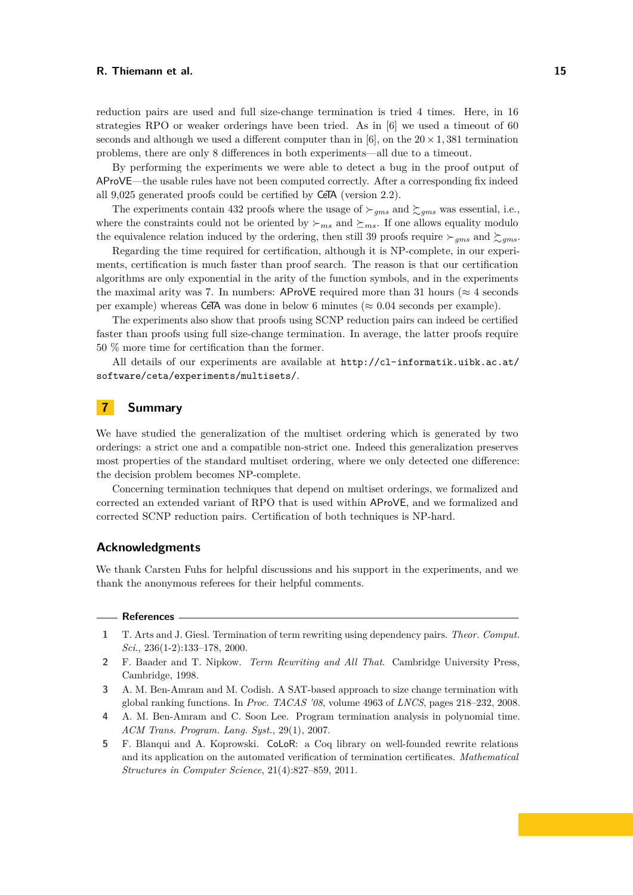reduction pairs are used and full size-change termination is tried 4 times. Here, in 16 strategies RPO or weaker orderings have been tried. As in [\[6\]](#page-15-3) we used a timeout of 60 seconds and although we used a different computer than in [\[6\]](#page-15-3), on the  $20 \times 1,381$  termination problems, there are only 8 differences in both experiments—all due to a timeout.

By performing the experiments we were able to detect a bug in the proof output of AProVE—the usable rules have not been computed correctly. After a corresponding fix indeed all 9,025 generated proofs could be certified by CeTA (version 2.2).

The experiments contain 432 proofs where the usage of  $\succ_{gms}$  and  $\succsim_{gms}$  was essential, i.e., where the constraints could not be oriented by  $\succ_{ms}$  and  $\succeq_{ms}$ . If one allows equality modulo the equivalence relation induced by the ordering, then still 39 proofs require  $\succ_{gms}$  and  $\succ_{gms}$ .

Regarding the time required for certification, although it is NP-complete, in our experiments, certification is much faster than proof search. The reason is that our certification algorithms are only exponential in the arity of the function symbols, and in the experiments the maximal arity was 7. In numbers: AProVE required more than 31 hours ( $\approx$  4 seconds per example) whereas CeTA was done in below 6 minutes ( $\approx 0.04$  seconds per example).

The experiments also show that proofs using SCNP reduction pairs can indeed be certified faster than proofs using full size-change termination. In average, the latter proofs require 50 % more time for certification than the former.

All details of our experiments are available at [http://cl-informatik.uibk.ac.at/](http://cl-informatik.uibk.ac.at/software/ceta/experiments/multisets/) [software/ceta/experiments/multisets/](http://cl-informatik.uibk.ac.at/software/ceta/experiments/multisets/).

# **7 Summary**

We have studied the generalization of the multiset ordering which is generated by two orderings: a strict one and a compatible non-strict one. Indeed this generalization preserves most properties of the standard multiset ordering, where we only detected one difference: the decision problem becomes NP-complete.

Concerning termination techniques that depend on multiset orderings, we formalized and corrected an extended variant of RPO that is used within AProVE, and we formalized and corrected SCNP reduction pairs. Certification of both techniques is NP-hard.

## **Acknowledgments**

We thank Carsten Fuhs for helpful discussions and his support in the experiments, and we thank the anonymous referees for their helpful comments.

#### **References**

- <span id="page-14-3"></span>**1** T. Arts and J. Giesl. Termination of term rewriting using dependency pairs. *Theor. Comput. Sci.*, 236(1-2):133–178, 2000.
- <span id="page-14-1"></span>**2** F. Baader and T. Nipkow. *Term Rewriting and All That*. Cambridge University Press, Cambridge, 1998.
- <span id="page-14-0"></span>**3** A. M. Ben-Amram and M. Codish. A SAT-based approach to size change termination with global ranking functions. In *Proc. TACAS '08*, volume 4963 of *LNCS*, pages 218–232, 2008.
- <span id="page-14-4"></span>**4** A. M. Ben-Amram and C. Soon Lee. Program termination analysis in polynomial time. *ACM Trans. Program. Lang. Syst.*, 29(1), 2007.
- <span id="page-14-2"></span>**5** F. Blanqui and A. Koprowski. CoLoR: a Coq library on well-founded rewrite relations and its application on the automated verification of termination certificates. *Mathematical Structures in Computer Science*, 21(4):827–859, 2011.